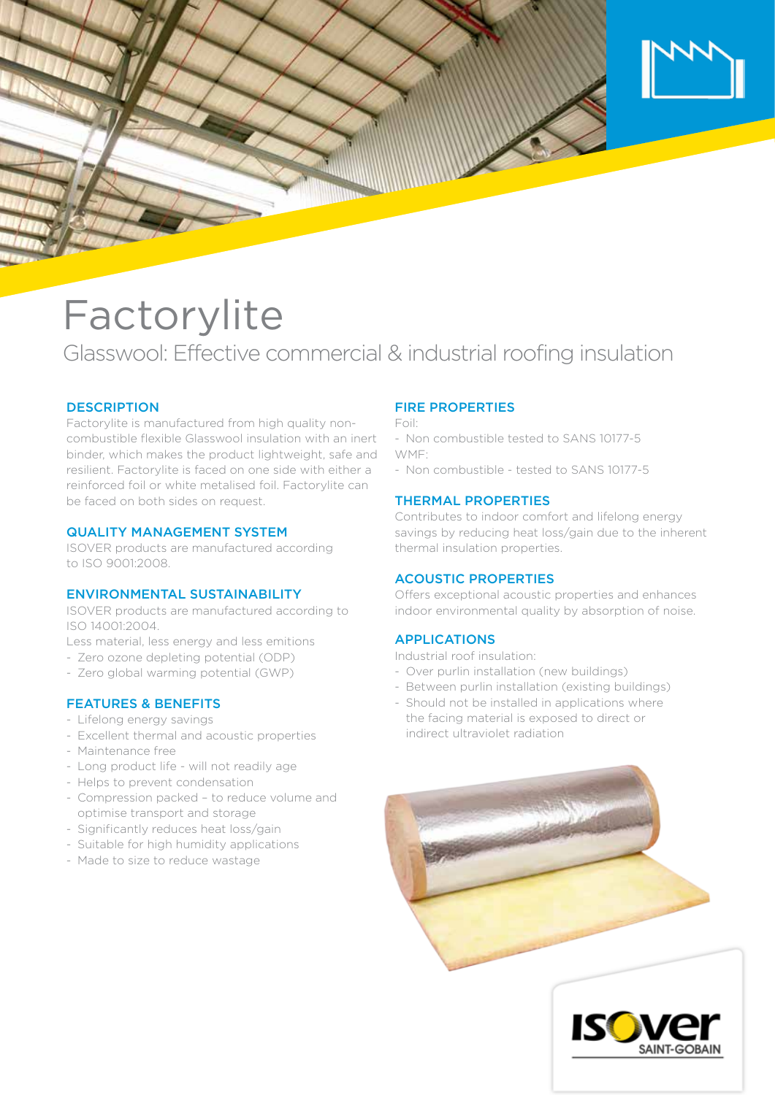

# **Factorylite**

Glasswool: Effective commercial & industrial roofing insulation

## **DESCRIPTION**

Factorylite is manufactured from high quality noncombustible flexible Glasswool insulation with an inert binder, which makes the product lightweight, safe and resilient. Factorylite is faced on one side with either a reinforced foil or white metalised foil. Factorylite can be faced on both sides on request.

#### QUALITY MANAGEMENT SYSTEM

ISOVER products are manufactured according to ISO 9001:2008.

#### ENVIRONMENTAL SUSTAINABILITY

ISOVER products are manufactured according to ISO 14001:2004.

Less material, less energy and less emitions

- Zero ozone depleting potential (ODP)
- Zero global warming potential (GWP)

# FEATURES & BENEFITS

- Lifelong energy savings
- Excellent thermal and acoustic properties
- Maintenance free
- Long product life will not readily age
- Helps to prevent condensation
- Compression packed to reduce volume and optimise transport and storage
- Significantly reduces heat loss/gain
- Suitable for high humidity applications
- Made to size to reduce wastage

# FIRE PROPERTIES

Foil:

- Non combustible tested to SANS 10177-5 WMF:
- Non combustible tested to SANS 10177-5

#### THERMAL PROPERTIES

Contributes to indoor comfort and lifelong energy savings by reducing heat loss/gain due to the inherent thermal insulation properties.

## ACOUSTIC PROPERTIES

Offers exceptional acoustic properties and enhances indoor environmental quality by absorption of noise.

#### APPLICATIONS

- Industrial roof insulation:
- Over purlin installation (new buildings)
- Between purlin installation (existing buildings)
- Should not be installed in applications where the facing material is exposed to direct or indirect ultraviolet radiation